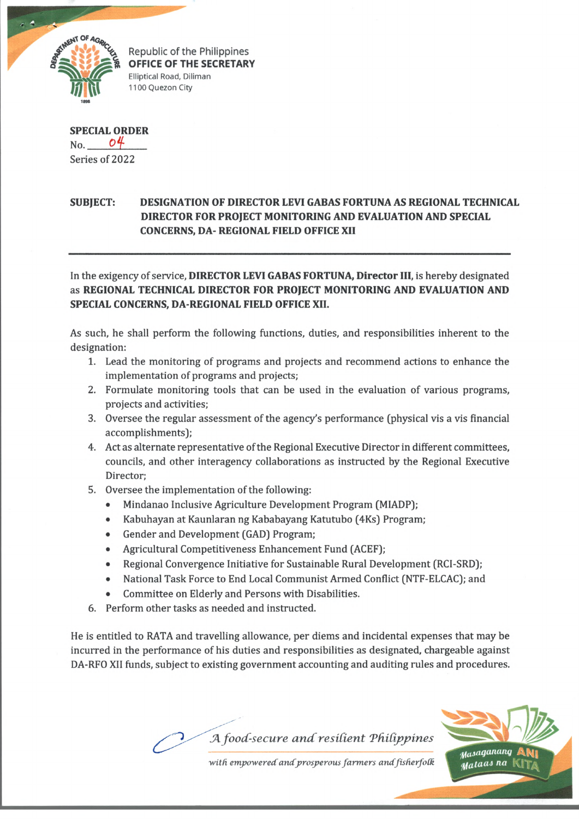

Republic of the Philippines OFFICE OF THE SECRETARY Elliptical Road, Diliman 1100 Quezon City

**SPECIAL ORDER** No. *OH-*Series of 2022

## **SUBJECT: DESIGNATION OF DIRECTOR LEVI GABAS FORTUNA AS REGIONAL TECHNICAL DIRECTOR FOR PROJECT MONITORING AND EVALUATION AND SPECIAL CONCERNS, DA- REGIONAL FIELD OFFICE XII**

In the exigency of service, **DIRECTOR LEVI GABAS FORTUNA, Director III,** is hereby designated as **REGIONAL TECHNICAL DIRECTOR FOR PROJECT MONITORING AND EVALUATION AND SPECIAL CONCERNS, DA-REGIONAL FIELD OFFICE XII.**

As such, he shall perform the following functions, duties, and responsibilities inherent to the designation:

- 1. Lead the monitoring of programs and projects and recommend actions to enhance the implementation of programs and projects;
- 2. Formulate monitoring tools that can be used in the evaluation of various programs, projects and activities;
- 3. Oversee the regular assessment of the agency's performance (physical vis a vis financial accomplishments);
- 4. Act as alternate representative of the Regional Executive Director in different committees, councils, and other interagency collaborations as instructed by the Regional Executive Director;
- 5. Oversee the implementation of the following:
	- Mindanao Inclusive Agriculture Development Program (MIADP);
	- Kabuhayan at Kaunlaran ng Kababayang Katutubo (4Ks) Program;
	- Gender and Development (GAD) Program;
	- Agricultural Competitiveness Enhancement Fund (ACEF);
	- Regional Convergence Initiative for Sustainable Rural Development (RCI-SRD);
	- National Task Force to End Local Communist Armed Conflict (NTF-ELCAC); and
	- Committee on Elderly and Persons with Disabilities.
- 6. Perform other tasks as needed and instructed.

He is entitled to RATA and travelling allowance, per diems and incidental expenses that may be incurred in the performance of his duties and responsibilities as designated, chargeable against DA-RFO XII funds, subject to existing government accounting and auditing rules and procedures.

*A food-secure and resilient Philippines* 



with empowered and prosperous farmers and fisherfolk